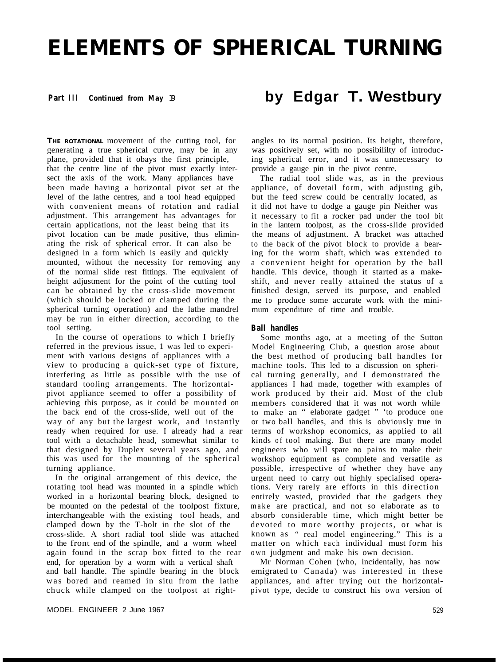# **ELEMENTS OF SPHERICAL TURNING**

### **Part III** *Continued from May 19*

**THE ROTATIONAL** movement of the cutting tool, for generating a true spherical curve, may be in any plane, provided that it obays the first principle, that the centre line of the pivot must exactly intersect the axis of the work. Many appliances have been made having a horizontal pivot set at the level of the lathe centres, and a tool head equipped with convenient means of rotation and radial adjustment. This arrangement has advantages for certain applications, not the least being that its pivot location can be made positive, thus eliminating the risk of spherical error. It can also be designed in a form which is easily and quickly mounted, without the necessity for removing any of the normal slide rest fittings. The equivalent of height adjustment for the point of the cutting tool can be obtained by the cross-slide movement (which should be locked or clamped during the spherical turning operation) and the lathe mandrel may be run in either direction, according to the tool setting.

In the course of operations to which I briefly referred in the previous issue, 1 was led to experiment with various designs of appliances with a view to producing a quick-set type of fixture, interfering as little as possible with the use of standard tooling arrangements. The horizontalpivot appliance seemed to offer a possibility of achieving this purpose, as it could be mounted on the back end of the cross-slide, well out of the way of any but the largest work, and instantly ready when required for use. I already had a rear tool with a detachable head, somewhat similar to that designed by Duplex several years ago, and this was used for the mounting of the spherical turning appliance.

In the original arrangement of this device, the rotating tool head was mounted in a spindle which worked in a horizontal bearing block, designed to be mounted on the pedestal of the toolpost fixture, interchangeable with the existing tool heads, and clamped down by the T-bolt in the slot of the cross-slide. A short radial tool slide was attached to the front end of the spindle, and a worm wheel again found in the scrap box fitted to the rear end, for operation by a worm with a vertical shaft and ball handle. The spindle bearing in the block was bored and reamed in situ from the lathe chuck while clamped on the toolpost at right-

## **by Edgar T. Westbury**

angles to its normal position. Its height, therefore, was positively set, with no possibililty of introducing spherical error, and it was unnecessary to provide a gauge pin in the pivot centre.

The radial tool slide was, as in the previous appliance, of dovetail form, with adjusting gib, but the feed screw could be centrally located, as it did not have to dodge a gauge pin Neither was it necessary to fit a rocker pad under the tool bit in the lantern toolpost, as the cross-slide provided the means of adjustment. A bracket was attached to the back of the pivot block to provide a bearing for the worm shaft, which was extended to a convenient height for operation by the ball handle. This device, though it started as a makeshift, and never really attained the status of a finished design, served its purpose, and enabled me to produce some accurate work with the minimum expenditure of time and trouble.

#### **Ball handles**

Some months ago, at a meeting of the Sutton Model Engineering Club, a question arose about the best method of producing ball handles for machine tools. This led to a discussion on spherical turning generally, and I demonstrated the appliances I had made, together with examples of work produced by their aid. Most of the club members considered that it was not worth while to make an " elaborate gadget " 'to produce one or two ball handles, and this is obviously true in terms of workshop economics, as applied to all kinds of tool making. But there are many model engineers who will spare no pains to make their workshop equipment as complete and versatile as possible, irrespective of whether they have any urgent need to carry out highly specialised operations. Very rarely are efforts in this direction entirely wasted, provided that the gadgets they make are practical, and not so elaborate as to absorb considerable time, which might better be devoted to more worthy projects, or what is known as " real model engineering." This is a matter on which each individual must form his own judgment and make his own decision.

Mr Norman Cohen (who, incidentally, has now emigrated to Canada) was interested in these appliances, and after trying out the horizontalpivot type, decide to construct his own version of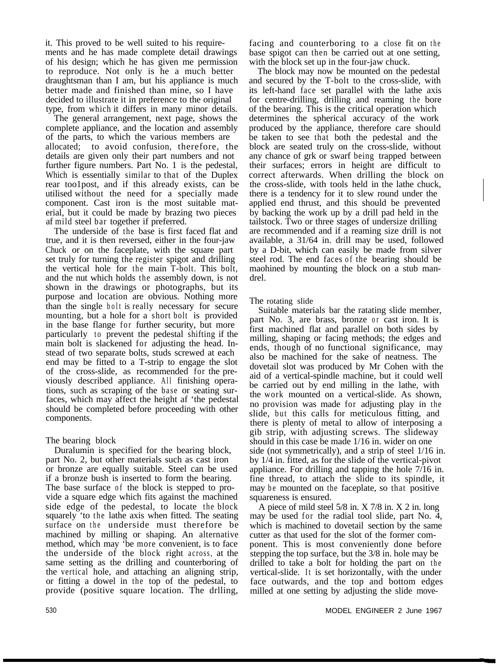it. This proved to be well suited to his requirements and he has made complete detail drawings of his design; which he has given me permission to reproduce. Not only is he a much better draughtsman than I am, but his appliance is much better made and finished than mine, so I have decided to illustrate it in preference to the original type, from which it differs in many minor details.

The general arrangement, next page, shows the complete appliance, and the location and assembly of the parts, to which the various members are allocated; to avoid confusion, therefore, the details are given only their part numbers and not further figure numbers. Part No. 1 is the pedestal, Which is essentially similar to that of the Duplex rear too1post, and if this already exists, can be utilised without the need for a specially made component. Cast iron is the most suitable material, but it could be made by brazing two pieces af mild steel bar together if preferred.

The underside of the base is first faced flat and true, and it is then reversed, either in the four-jaw Chuck or on the faceplate, with the square part set truly for turning the register spigot and drilling the vertical hole for the main T-bolt. This bolt, and the nut which holds the assembly down, is not shown in the drawings or photographs, but its purpose and location are obvious. Nothing more than the single bolt is really necessary for secure mounting, but a hole for a short bolt is provided in the base flange for further security, but more particularly to prevent the pedestal shifting if the main bolt is slackened for adjusting the head. Instead of two separate bolts, studs screwed at each end may be fitted to a T-strip to engage the slot of the cross-slide, as recommended for the previously described appliance. All finishing operations, such as scraping of the base or seating surfaces, which may affect the height af 'the pedestal should be completed before proceeding with other components.

### The bearing block

Duralumin is specified for the bearing block, part No. 2, but other materials such as cast iron or bronze are equally suitable. Steel can be used if a bronze bush is inserted to form the bearing. The base surface of the block is stepped to provide a square edge which fits against the machined side edge of the pedestal, to locate the block squarely 'to the lathe axis when fitted. The seating surface on the underside must therefore be machined by milling or shaping. An alternative method, which may 'be more convenient, is to face the underside of the block right across, at the same setting as the drilling and counterboring of the vertical hole, and attaching an aligning strip, or fitting a dowel in the top of the pedestal, to provide (positive square location. The drlling,

facing and counterboring to a close fit on the base spigot can then be carried out at one setting, with the block set up in the four-jaw chuck.

The block may now be mounted on the pedestal and secured by the T-bolt to the cross-slide, with its left-hand face set parallel with the lathe axis for centre-drilling, drilling and reaming the bore of the bearing. This is the critical operation which determines the spherical accuracy of the work produced by the appliance, therefore care should be taken to see that both the pedestal and the block are seated truly on the cross-slide, without any chance of grk or swarf being trapped between their surfaces; errors in height are difficult to correct afterwards. When drilling the block on the cross-slide, with tools held in the lathe chuck, there is a tendency for it to slew round under the applied end thrust, and this should be prevented by backing the work up by a drill pad held in the tailstock. Two or three stages of undersize drilling are recommended and if a reaming size drill is not available, a 31/64 in. drill may be used, followed by a D-bit, which can easily be made from silver steel rod. The end faces of the bearing should be maohined by mounting the block on a stub mandrel.

The rotating slide

Suitable materials bar the ratating slide member, part No. 3, are brass, bronze or cast iron. It is first machined flat and parallel on both sides by milling, shaping or facing methods; the edges and ends, though of no functional significance, may also be machined for the sake of neatness. The dovetail slot was produced by Mr Cohen with the aid of a vertical-spindle machine, but it could well be carried out by end milling in the lathe, with the work mounted on a vertical-slide. As shown, no provision was made for adjusting play in the slide, but this calls for meticulous fitting, and there is plenty of metal to allow of interposing a gib strip, with adjusting screws. The slideway should in this case be made 1/16 in. wider on one side (not symmetrically), and a strip of steel 1/16 in. by 1/4 in. fitted, as for the slide of the vertical-pivot appliance. For drilling and tapping the hole 7/16 in. fine thread, to attach the slide to its spindle, it may be mounted on the faceplate, so that positive squareness is ensured.

A piece of mild steel 5/8 in. X 7/8 in. X 2 in. long may be used for the radial tool slide, part No. 4, which is machined to dovetail section by the same cutter as that used for the slot of the former component. This is most conveniently done before stepping the top surface, but the 3/8 in. hole may be drilled to take a bolt for holding the part on the vertical-slide. It is set horizontally, with the under face outwards, and the top and bottom edges milled at one setting by adjusting the slide move-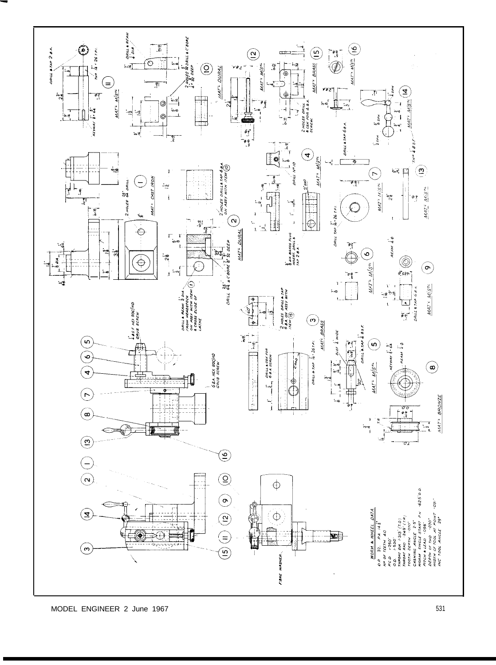